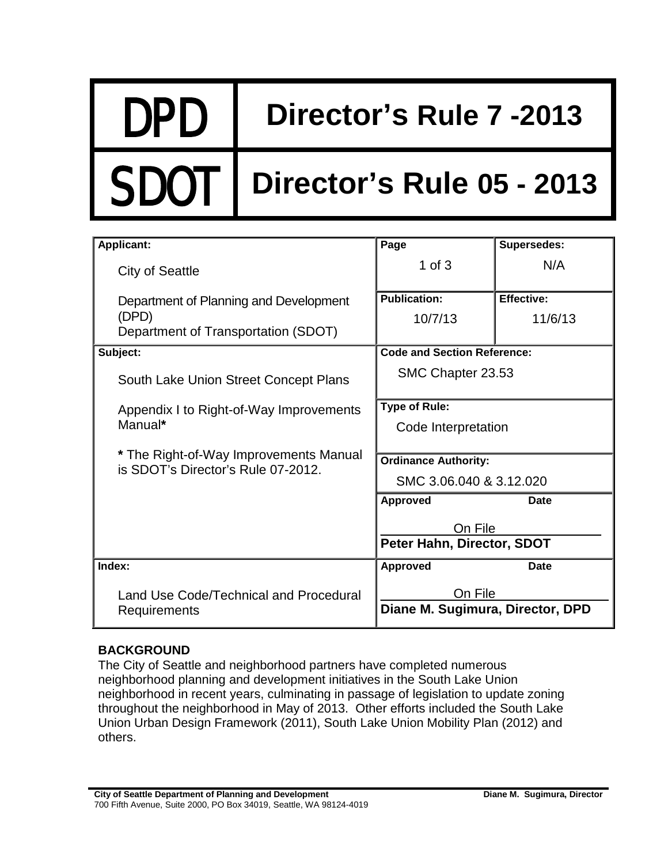DPD **Director's Rule 7 -2013**

## **Director's Rule 05 - 2013**

| <b>Applicant:</b>                                                            | Page                                  | Supersedes:       |
|------------------------------------------------------------------------------|---------------------------------------|-------------------|
| <b>City of Seattle</b>                                                       | $1$ of $3$                            | N/A               |
| Department of Planning and Development                                       | <b>Publication:</b>                   | <b>Effective:</b> |
| (DPD)                                                                        | 10/7/13                               | 11/6/13           |
| Department of Transportation (SDOT)                                          |                                       |                   |
| Subject:                                                                     | <b>Code and Section Reference:</b>    |                   |
| South Lake Union Street Concept Plans                                        | SMC Chapter 23.53                     |                   |
| Appendix I to Right-of-Way Improvements<br>Manual*                           | <b>Type of Rule:</b>                  |                   |
|                                                                              | Code Interpretation                   |                   |
|                                                                              |                                       |                   |
| * The Right-of-Way Improvements Manual<br>is SDOT's Director's Rule 07-2012. | <b>Ordinance Authority:</b>           |                   |
|                                                                              | SMC 3.06.040 & 3.12.020               |                   |
|                                                                              | <b>Approved</b>                       | Date              |
|                                                                              | On File<br>Peter Hahn, Director, SDOT |                   |
|                                                                              |                                       |                   |
| Index:                                                                       | <b>Approved</b>                       | <b>Date</b>       |
| Land Use Code/Technical and Procedural<br>Requirements                       | On File                               |                   |
|                                                                              | Diane M. Sugimura, Director, DPD      |                   |

## **BACKGROUND**

The City of Seattle and neighborhood partners have completed numerous neighborhood planning and development initiatives in the South Lake Union neighborhood in recent years, culminating in passage of legislation to update zoning throughout the neighborhood in May of 2013. Other efforts included the South Lake Union Urban Design Framework (2011), South Lake Union Mobility Plan (2012) and others.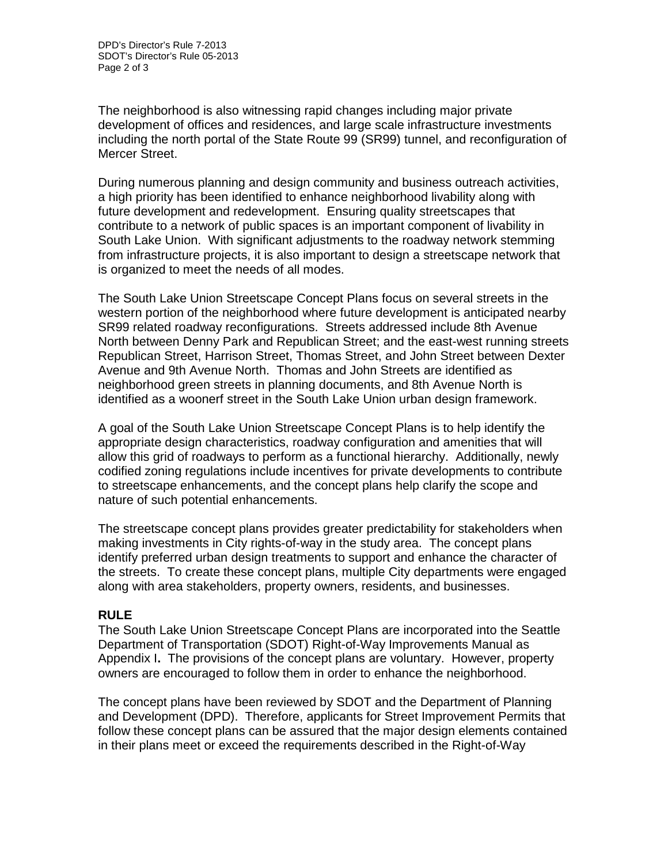The neighborhood is also witnessing rapid changes including major private development of offices and residences, and large scale infrastructure investments including the north portal of the State Route 99 (SR99) tunnel, and reconfiguration of Mercer Street.

During numerous planning and design community and business outreach activities, a high priority has been identified to enhance neighborhood livability along with future development and redevelopment. Ensuring quality streetscapes that contribute to a network of public spaces is an important component of livability in South Lake Union. With significant adjustments to the roadway network stemming from infrastructure projects, it is also important to design a streetscape network that is organized to meet the needs of all modes.

The South Lake Union Streetscape Concept Plans focus on several streets in the western portion of the neighborhood where future development is anticipated nearby SR99 related roadway reconfigurations. Streets addressed include 8th Avenue North between Denny Park and Republican Street; and the east-west running streets Republican Street, Harrison Street, Thomas Street, and John Street between Dexter Avenue and 9th Avenue North. Thomas and John Streets are identified as neighborhood green streets in planning documents, and 8th Avenue North is identified as a woonerf street in the South Lake Union urban design framework.

A goal of the South Lake Union Streetscape Concept Plans is to help identify the appropriate design characteristics, roadway configuration and amenities that will allow this grid of roadways to perform as a functional hierarchy. Additionally, newly codified zoning regulations include incentives for private developments to contribute to streetscape enhancements, and the concept plans help clarify the scope and nature of such potential enhancements.

The streetscape concept plans provides greater predictability for stakeholders when making investments in City rights-of-way in the study area. The concept plans identify preferred urban design treatments to support and enhance the character of the streets. To create these concept plans, multiple City departments were engaged along with area stakeholders, property owners, residents, and businesses.

## **RULE**

The South Lake Union Streetscape Concept Plans are incorporated into the Seattle Department of Transportation (SDOT) Right-of-Way Improvements Manual as Appendix I**.** The provisions of the concept plans are voluntary. However, property owners are encouraged to follow them in order to enhance the neighborhood.

The concept plans have been reviewed by SDOT and the Department of Planning and Development (DPD). Therefore, applicants for Street Improvement Permits that follow these concept plans can be assured that the major design elements contained in their plans meet or exceed the requirements described in the Right-of-Way